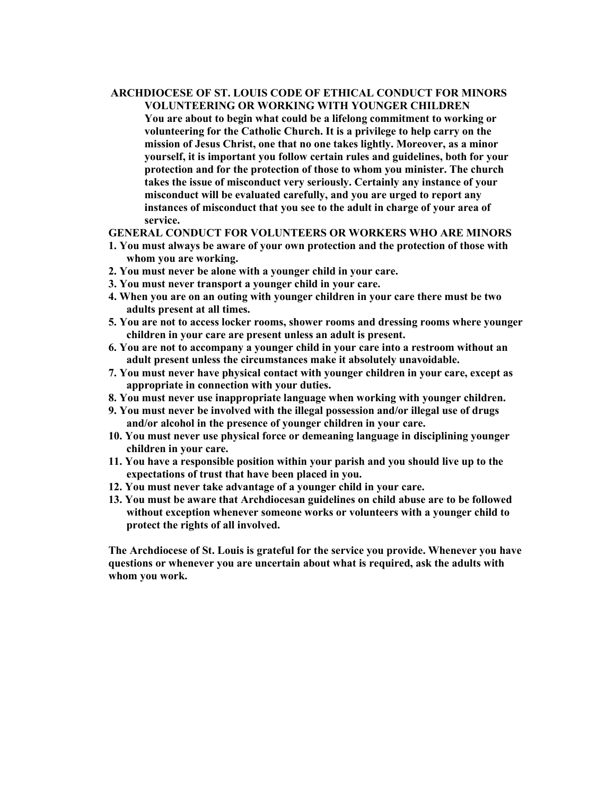# **ARCHDIOCESE OF ST. LOUIS CODE OF ETHICAL CONDUCT FOR MINORS VOLUNTEERING OR WORKING WITH YOUNGER CHILDREN**

**You are about to begin what could be a lifelong commitment to working or volunteering for the Catholic Church. It is a privilege to help carry on the mission of Jesus Christ, one that no one takes lightly. Moreover, as a minor yourself, it is important you follow certain rules and guidelines, both for your protection and for the protection of those to whom you minister. The church takes the issue of misconduct very seriously. Certainly any instance of your misconduct will be evaluated carefully, and you are urged to report any instances of misconduct that you see to the adult in charge of your area of service.** 

#### **GENERAL CONDUCT FOR VOLUNTEERS OR WORKERS WHO ARE MINORS**

- **1. You must always be aware of your own protection and the protection of those with whom you are working.**
- **2. You must never be alone with a younger child in your care.**
- **3. You must never transport a younger child in your care.**
- **4. When you are on an outing with younger children in your care there must be two adults present at all times.**
- **5. You are not to access locker rooms, shower rooms and dressing rooms where younger children in your care are present unless an adult is present.**
- **6. You are not to accompany a younger child in your care into a restroom without an adult present unless the circumstances make it absolutely unavoidable.**
- **7. You must never have physical contact with younger children in your care, except as appropriate in connection with your duties.**
- **8. You must never use inappropriate language when working with younger children.**
- **9. You must never be involved with the illegal possession and/or illegal use of drugs and/or alcohol in the presence of younger children in your care.**
- **10. You must never use physical force or demeaning language in disciplining younger children in your care.**
- **11. You have a responsible position within your parish and you should live up to the expectations of trust that have been placed in you.**
- **12. You must never take advantage of a younger child in your care.**
- **13. You must be aware that Archdiocesan guidelines on child abuse are to be followed without exception whenever someone works or volunteers with a younger child to protect the rights of all involved.**

**The Archdiocese of St. Louis is grateful for the service you provide. Whenever you have questions or whenever you are uncertain about what is required, ask the adults with whom you work.**